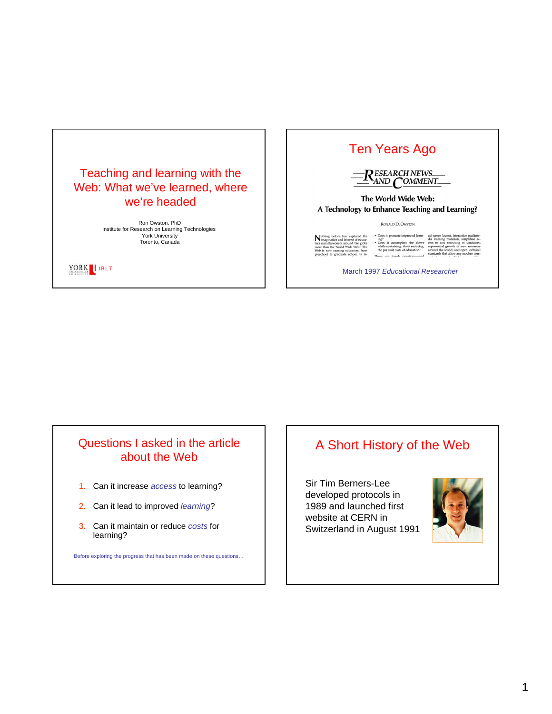

*IRLT*

## Ten Years Ago



#### The World Wide Web: A Technology to Enhance Teaching and Learning?

RONALD D. OWSTON

• Does it pro<br>
ing?<br>• Does it a improved learnbourse it prounted improved internet<br>
loose it accomplish the above<br>
while containing, if not reducing,<br>
the per unit costs of education?<br>
... ioh

March 1997 *Educational Researcher*

#### Questions I asked in the article about the Web

- 1. Can it increase *access* to learning?
- 2. Can it lead to improved *learning*?
- 3. Can it maintain or reduce *costs* for learning?

Before exploring the progress that has been made on these questions…

# A Short History of the Web

Sir Tim Berners-Lee developed protocols in 1989 and launched first website at CERN in Switzerland in August 1991

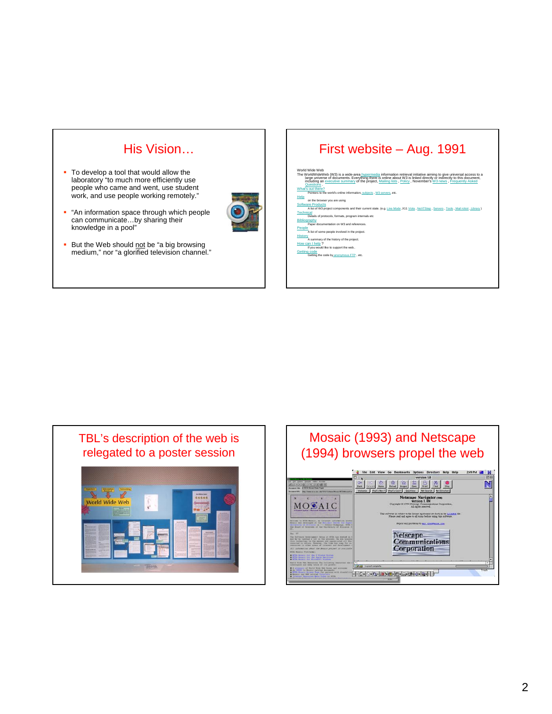# His Vision…

- To develop a tool that would allow the laboratory "to much more efficiently use people who came and went, use student work, and use people working remotely."
- "An information space through which people can communicate…by sharing their knowledge in a pool"



But the Web should not be "a big browsing" medium," nor "a glorified television channel."

# First website – Aug. 1991

- World Wide Web (W3) is a wide-area <u>hypermedia</u> information retrieval initiative airning to give universal access to a<br>Harp universed of ocuments. Everything fixers is constructed in the similar privated frech you had so What's out there? Pointers to the world's online information, subjects , W3 servers, etc. **Help**
- on the browser you are using re Products
- ect components and their current state. (e.g. Line Mode ,X11 Viola , NeXTStep , Servers , Tools , Mail **Technical**
- Details of protocols, formats, program internals etc **Bibliography** Paper documentation on W3 and references.
- People A list of some people involved in the project.
- **History**  $\frac{\mathbf{x}}{\mathbf{A}}$  summary of the history of the project
- an I help?<br>If you would like to support the web.
- Getting code<br>Getting the code by anonymous FTP, etc.



#### Mosaic (1993) and Netscape (1994) browsers propel the web249 PM B N **E E E E E E E E**  $\mathbf N$ 00000000 Eape Navigator (TH) MOSAIC is in subject to the license agreement set forth in the LECT Netscape<br>Communications<br>Corporation **Letter Lives FOR OR RODE BEATING**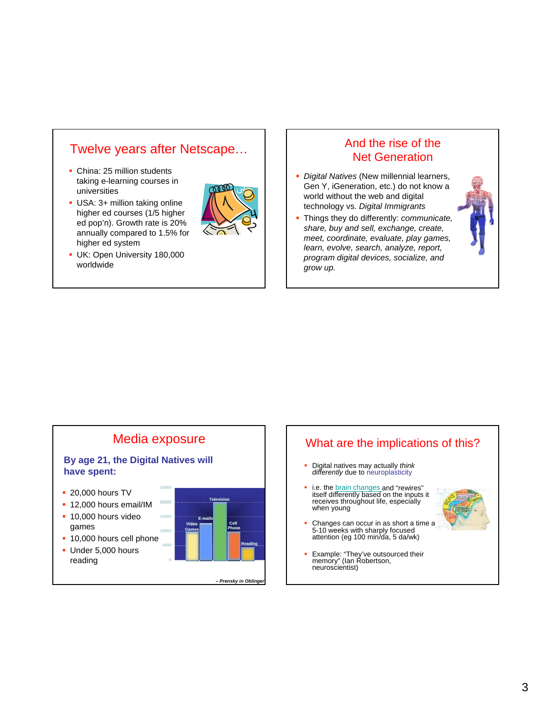# Twelve years after Netscape…

- China: 25 million students taking e-learning courses in universities
- USA: 3+ million taking online higher ed courses (1/5 higher ed pop'n). Growth rate is 20% annually compared to 1.5% for higher ed system



**UK: Open University 180,000** worldwide

#### And the rise of the Net Generation

- *Digital Natives* (New millennial learners, Gen Y, iGeneration, etc.) do not know a world without the web and digital technology vs. *Digital Immigrants*
- Things they do differently: *communicate, share, buy and sell, exchange, create, meet, coordinate, evaluate, play games, learn, evolve, search, analyze, report, program digital devices, socialize, and grow up.*





Example: "They've outsourced their memory" (Ian Robertson, neuroscientist)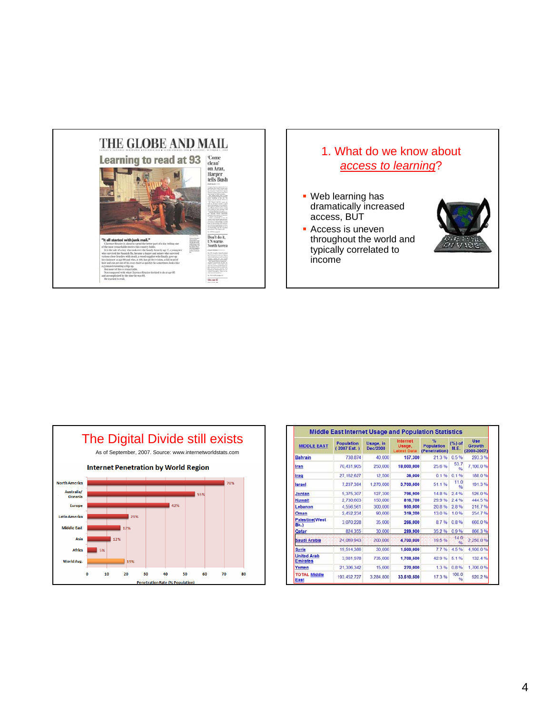

# 1. What do we know about *access to learning*? Web learning has dramatically increased access, BUT **Access is uneven** throughout the world and typically correlated to income



| <b>MIDDLE EAST</b>                    | Population<br>$(2007 \text{ Est.})$ | Usage, in<br><b>Dec/2000</b> | <b>Internet</b><br>Usage.<br><b>Latest Data</b> | $\%$<br><b>Population</b><br>(Penetration) | (%) of<br><b>M.E.</b> | <b>Use</b><br>Growth<br>$(2000 - 2007)$ |
|---------------------------------------|-------------------------------------|------------------------------|-------------------------------------------------|--------------------------------------------|-----------------------|-----------------------------------------|
| <b>Bahrain</b>                        | 738,874                             | 40.000                       | 157,300                                         | 21.3%                                      | 0.5%                  | 293.3%                                  |
| Iran                                  | 70.431.905                          | 250,000                      | 18,000,000                                      | 25.6%                                      | 53.7<br>٩'n           | 7.100.0%                                |
| Iraq                                  | 27.162.627                          | 12,500                       | 36,000                                          | 0.1 %                                      | 0.1%                  | 188.0%                                  |
| Israel                                | 7.237.384                           | 1.270.000                    | 3,700,000                                       | 51.1%                                      | 11.0<br>Q6            | 191.3%                                  |
| Jordan                                | 5.375.307                           | 127,300                      | 796,900                                         | 14.8%                                      | 2.4%                  | 526.0%                                  |
| Kuwait                                | 2.730.603                           | 150,000                      | 816,700                                         | 299%                                       | 2.4%                  | 444.5%                                  |
| Lebanon                               | 4.556.561                           | 300,000                      | 950,000                                         | 20.8%                                      | 2.8%                  | 216.7%                                  |
| Oman                                  | 2.452.234                           | 90.000                       | 319,200                                         | 13.0%                                      | 1.0%                  | 254.7%                                  |
| <b>Palestine(West</b><br>Bk.)         | 3.070.228                           | 35,000                       | 266,000                                         | 8.7%                                       | 0.8%                  | 660.0%                                  |
| Qatar                                 | 824.355                             | 30.000                       | 289,900                                         | 35.2%                                      | 0.9 %                 | 866.3%                                  |
| Saudi Arabia                          | 24.069.943                          | 200.000                      | 4,700,000                                       | 19.5.%                                     | 14:0                  | 2.250.0.%                               |
| <b>Syria</b>                          | 19.514.386                          | 30,000                       | 1,500,000                                       | 7.7%                                       | 4.5%                  | 4.900.0%                                |
| <b>United Arab</b><br><b>Emirates</b> | 3.981.978                           | 735,000                      | 1,708,500                                       | 42.9%                                      | 5.1%                  | 132.4%                                  |
| Yemen                                 | 21.306.342                          | 15,000                       | 270,000                                         | 1.3%                                       | 0.8%                  | 1,700.0%                                |
| <b>TOTAL Middle</b><br>East           | 193.452.727                         | 3.284.800                    | 33,510,500                                      | 17.3%                                      | 100.0<br>96           | 920.2%                                  |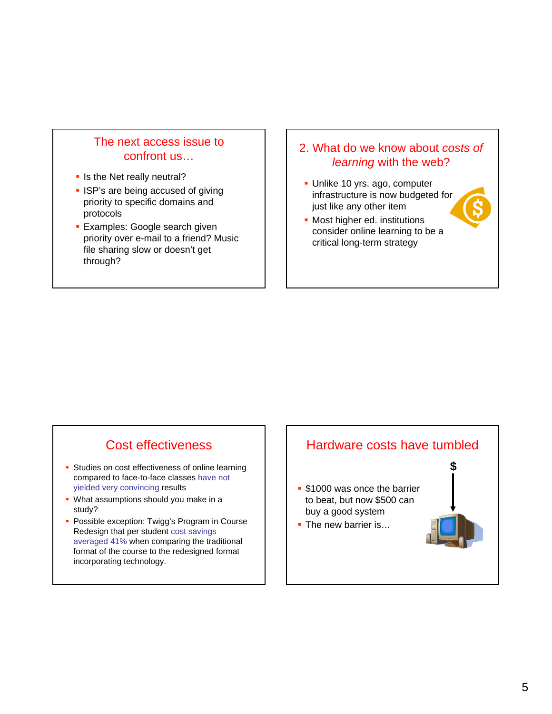#### The next access issue to confront us…

- **Io Is the Net really neutral?**
- **ISP's are being accused of giving** priority to specific domains and protocols
- **Examples: Google search given** priority over e-mail to a friend? Music file sharing slow or doesn't get through?

#### 2. What do we know about *costs of learning* with the web?

- Unlike 10 yrs. ago, computer infrastructure is now budgeted for just like any other item
- **Most higher ed. institutions** consider online learning to be a critical long-term strategy

# Cost effectiveness

- **Studies on cost effectiveness of online learning** compared to face-to-face classes have not yielded very convincing results
- **What assumptions should you make in a** study?
- **Possible exception: Twigg's Program in Course** Redesign that per student cost savings averaged 41% when comparing the traditional format of the course to the redesigned format incorporating technology.

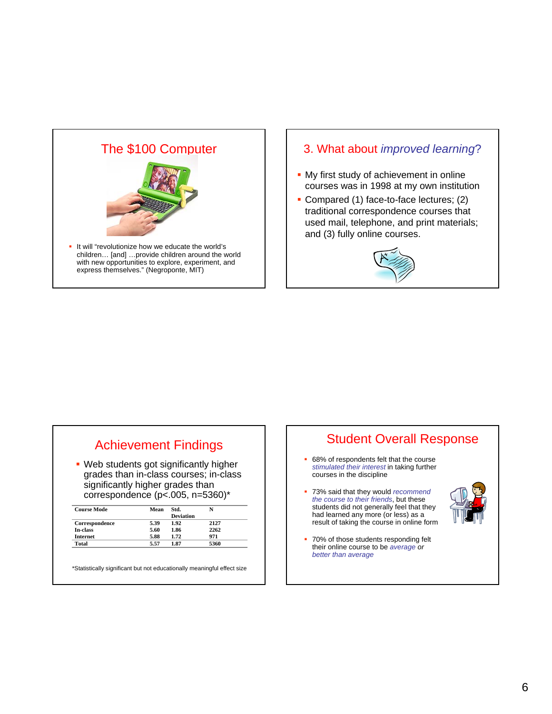

#### 3. What about *improved learning*?

- **My first study of achievement in online** courses was in 1998 at my own institution
- Compared (1) face-to-face lectures; (2) traditional correspondence courses that used mail, telephone, and print materials; and (3) fully online courses.



# Achievement Findings

• Web students got significantly higher grades than in-class courses; in-class significantly higher grades than correspondence (p<.005, n=5360)\*

| <b>Course Mode</b> | Mean | Std.             |      |
|--------------------|------|------------------|------|
|                    |      | <b>Deviation</b> |      |
| Correspondence     | 5.39 | 1.92             | 2127 |
| In-class           | 5.60 | 1.86             | 2262 |
| <b>Internet</b>    | 5.88 | 1.72             | 971  |
| Total              | 5.57 | 1.87             | 5360 |

\*Statistically significant but not educationally meaningful effect size

### Student Overall Response

- 68% of respondents felt that the course *stimulated their interest* in taking further courses in the discipline
- 73% said that they would *recommend the course to their friends*, but these students did not generally feel that they had learned any more (or less) as a result of taking the course in online form



• 70% of those students responding felt their online course to be *average or better than average*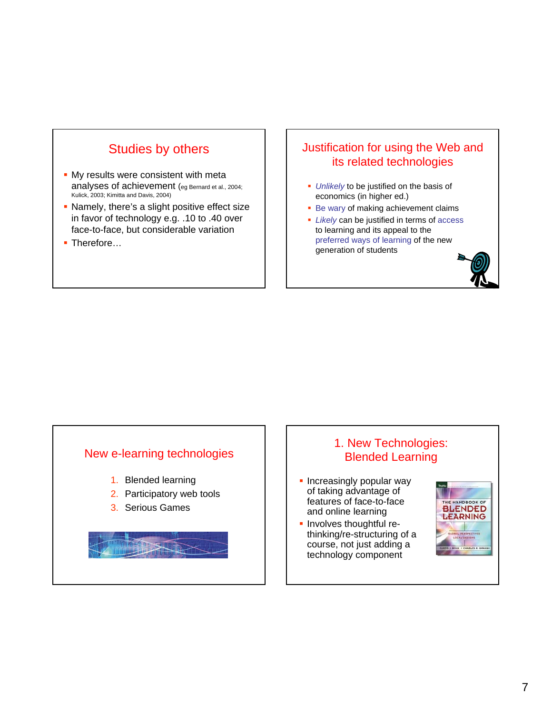

- **My results were consistent with metal** analyses of achievement (eg Bernard et al., 2004; Kulick, 2003; Kimitta and Davis, 2004)
- Namely, there's a slight positive effect size in favor of technology e.g. .10 to .40 over face-to-face, but considerable variation
- Therefore…

#### Justification for using the Web and its related technologies

- *Unlikely* to be justified on the basis of economics (in higher ed.)
- **Be wary of making achievement claims**
- *Likely* can be justified in terms of access to learning and its appeal to the preferred ways of learning of the new generation of students

#### New e-learning technologies

- 1. Blended learning
- 2. Participatory web tools
- 3. Serious Games

### 1. New Technologies: Blended Learning

- **Increasingly popular way** of taking advantage of features of face-to-face and online learning
- **-** Involves thoughtful rethinking/re-structuring of a course, not just adding a technology component

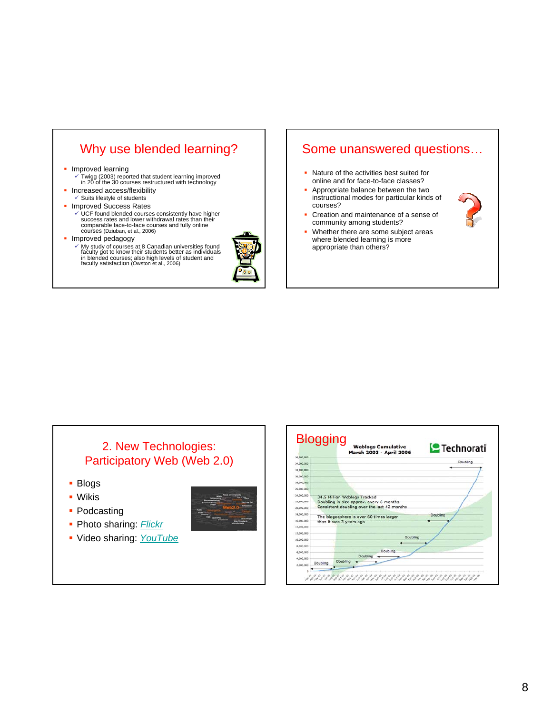# Why use blended learning?

#### **Improved learning**

- 9 Twigg (2003) reported that student learning improved in 20 of the 30 courses restructured with technology
- Increased access/flexibility
- $\checkmark$  Suits lifestyle of students

#### **Improved Success Rates**

 $\checkmark$  UCF found blended courses consistently have higher success rates and lower withdrawal rates than their comparable face-to-face courses and fully online courses (Dziuban, et al., 2006)

#### **Improved pedagogy**

9 My study of courses at 8 Canadian universities found faculty got to know their students better as individuals in blended courses; also high levels of student and faculty satisfaction (Owston et al., 2006)



#### Some unanswered questions…

- Nature of the activities best suited for online and for face-to-face classes?
- Appropriate balance between the two instructional modes for particular kinds of courses?



- Creation and maintenance of a sense of community among students?
- Whether there are some subject areas where blended learning is more appropriate than others?

#### 2. New Technologies: Participatory Web (Web 2.0)

- **Blogs**
- Wikis
- Podcasting
- **Photo sharing: Flickr**
- Video sharing: *YouTube*

|            |          | <b>Weblogs Cumulative</b><br>March 2003 - April 2006               | <b>P</b> Technorati |
|------------|----------|--------------------------------------------------------------------|---------------------|
| 36,000,000 |          |                                                                    |                     |
| 34.000.000 |          |                                                                    | Doubling            |
| 32,000,000 |          |                                                                    |                     |
| 30,000,000 |          |                                                                    |                     |
| 28,000,000 |          |                                                                    |                     |
| 26.000.000 |          |                                                                    |                     |
| 24,000,000 |          | 34.5 Million Weblogs Tracked                                       |                     |
| 22,000,000 |          | Doubling in size approx, every 6 months                            |                     |
| 20.000.000 |          | Consistent doubling over the last 42 months                        |                     |
| 18,000,000 |          |                                                                    | Doubling            |
| 16,000,000 |          | The blogosphere is over 60 times larger<br>than it was 3 years ago |                     |
| 14,000,000 |          |                                                                    |                     |
| 12,000,000 |          |                                                                    |                     |
| 10.000.000 |          | Doubling                                                           |                     |
| 8,000,000  |          |                                                                    |                     |
| 6,000,000  |          | Doubling                                                           |                     |
|            |          | Doubling                                                           |                     |
| 4,000,000  | Doubling | Doubling                                                           |                     |
| 2,000,000  |          |                                                                    |                     |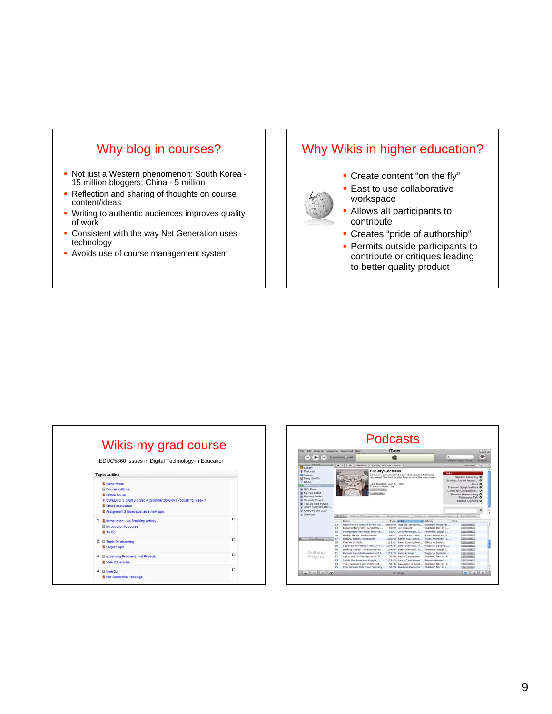# Why blog in courses?

- Not just a Western phenomenon: South Korea 15 million bloggers; China - 5 million
- Reflection and sharing of thoughts on course content/ideas
- **Writing to authentic audiences improves quality** of work
- **Consistent with the way Net Generation uses** technology
- **Avoids use of course management system**

# Why Wikis in higher education?



- Create content "on the fly"
- **East to use collaborative** workspace
- Allows all participants to contribute
- Creates "pride of authorship"
- **Permits outside participants to** contribute or critiques leading to better quality product

| <b>Topic outline</b>                                           |          |
|----------------------------------------------------------------|----------|
| <b>W</b> News forum                                            |          |
| <b>E3 Course syllabus</b>                                      |          |
| <b>E</b> Coffee house                                          |          |
| # GS/EDUC S 5860 3.0 Sec A (Summer 2006-07) Podcast for week 1 |          |
| 裏 Ethics application                                           |          |
| Assignment 3 Ideas-post as a new topic                         |          |
| T Mintroduction - Ice Breaking Activity                        | $\Gamma$ |
| El introduction to course                                      |          |
| 畫 To Do                                                        |          |
| 2 <b>El Tools for elearning</b>                                | α        |
| 翼 Project topic                                                |          |
| 3 El eLearning Programs and Projects                           | □        |
| 图 Web 2.0 articles                                             |          |
|                                                                |          |
| El Web 2.0                                                     | $\Box$   |

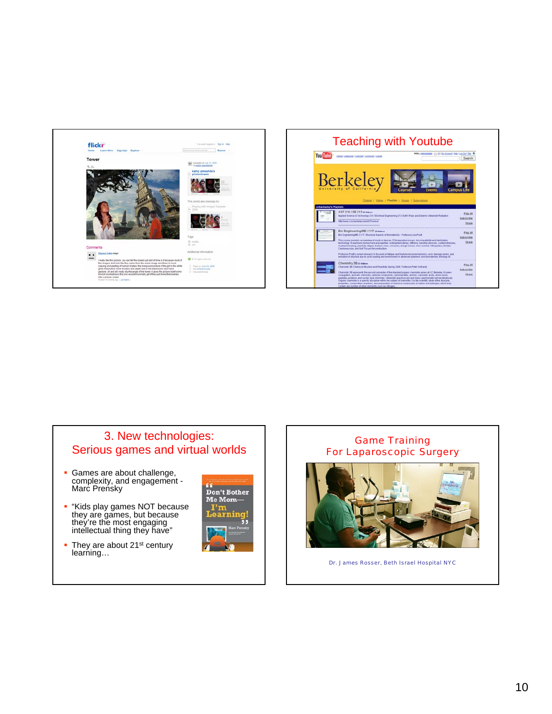



#### 3. New technologies: Serious games and virtual worlds

- Games are about challenge, complexity, and engagement - Marc Prensky
- **.** "Kids play games NOT because they are games, but because they're the most engaging intellectual thing they have"
- They are about 21<sup>st</sup> century learning…



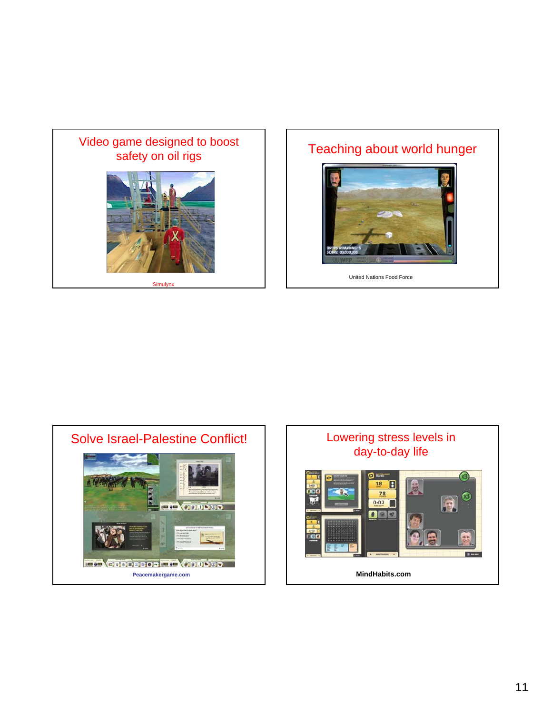

Simulynx

# Teaching about world hunger



United Nations Food Force



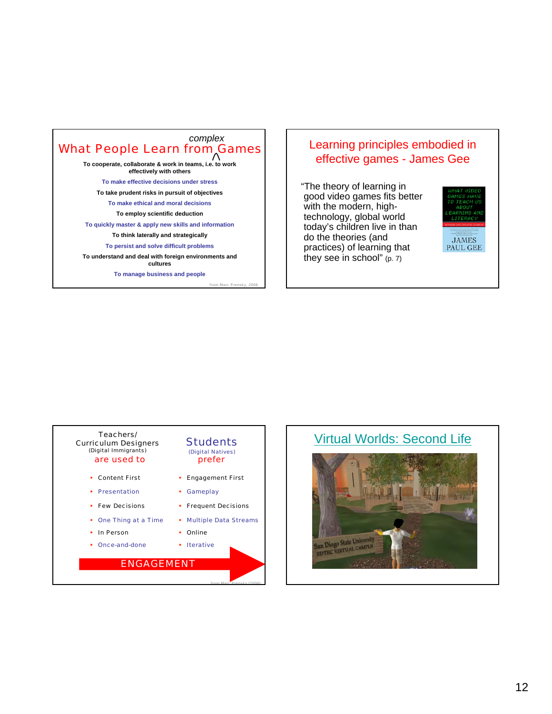### What People Learn from Games *complex*

**To cooperate, collaborate & work in teams, i.e. to work effectively with others**

**To make effective decisions under stress**

**To take prudent risks in pursuit of objectives**

**To make ethical and moral decisions**

**To employ scientific deduction**

**To quickly master & apply new skills and information**

**To think laterally and strategically**

**To persist and solve difficult problems**

**To understand and deal with foreign environments and cultures**

**To manage business and people**

from Marc Prensky, 2006

from Marc Prensky (2006)

#### Learning principles embodied in effective games - James Gee

"The theory of learning in good video games fits better with the modern, hightechnology, global world today's children live in than do the theories (and practices) of learning that they see in school" (p. 7)



#### **Students** (Digital Natives) prefer Teachers/ Curriculum Designers (Digital Immigrants) are used to *ENGAGEMENT* In Person Gameplay One Thing at a Time **Few Decisions • Presentation**  Multiple Data Streams Online • Frequent Decisions • Content First **Engagement First** Once-and-done **I**terative